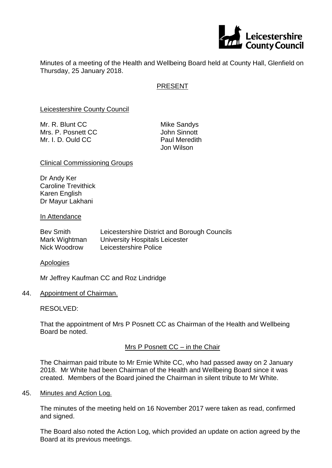

Minutes of a meeting of the Health and Wellbeing Board held at County Hall, Glenfield on Thursday, 25 January 2018.

## PRESENT

Leicestershire County Council

| Mr. R. Blunt CC    | Mike  |
|--------------------|-------|
| Mrs. P. Posnett CC | John  |
| Mr. I. D. Ould CC  | Paul  |
|                    | Jon \ |

Sandys Sinnott Meredith Wilson

#### Clinical Commissioning Groups

Dr Andy Ker Caroline Trevithick Karen English Dr Mayur Lakhani

#### In Attendance

| Bev Smith     | Leicestershire District and Borough Councils |
|---------------|----------------------------------------------|
| Mark Wightman | University Hospitals Leicester               |
| Nick Woodrow  | Leicestershire Police                        |

**Apologies** 

Mr Jeffrey Kaufman CC and Roz Lindridge

#### 44. Appointment of Chairman.

#### RESOLVED:

That the appointment of Mrs P Posnett CC as Chairman of the Health and Wellbeing Board be noted.

## Mrs P Posnett CC – in the Chair

The Chairman paid tribute to Mr Ernie White CC, who had passed away on 2 January 2018. Mr White had been Chairman of the Health and Wellbeing Board since it was created. Members of the Board joined the Chairman in silent tribute to Mr White.

### 45. Minutes and Action Log.

The minutes of the meeting held on 16 November 2017 were taken as read, confirmed and signed.

The Board also noted the Action Log, which provided an update on action agreed by the Board at its previous meetings.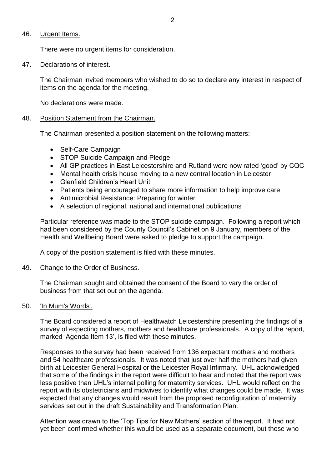### 46. Urgent Items.

There were no urgent items for consideration.

#### 47. Declarations of interest.

The Chairman invited members who wished to do so to declare any interest in respect of items on the agenda for the meeting.

No declarations were made.

#### 48. Position Statement from the Chairman.

The Chairman presented a position statement on the following matters:

- Self-Care Campaign
- STOP Suicide Campaign and Pledge
- All GP practices in East Leicestershire and Rutland were now rated 'good' by CQC
- Mental health crisis house moving to a new central location in Leicester
- Glenfield Children's Heart Unit
- Patients being encouraged to share more information to help improve care
- Antimicrobial Resistance: Preparing for winter
- A selection of regional, national and international publications

Particular reference was made to the STOP suicide campaign. Following a report which had been considered by the County Council's Cabinet on 9 January, members of the Health and Wellbeing Board were asked to pledge to support the campaign.

A copy of the position statement is filed with these minutes.

#### 49. Change to the Order of Business.

The Chairman sought and obtained the consent of the Board to vary the order of business from that set out on the agenda.

#### 50. 'In Mum's Words'.

The Board considered a report of Healthwatch Leicestershire presenting the findings of a survey of expecting mothers, mothers and healthcare professionals. A copy of the report, marked 'Agenda Item 13', is filed with these minutes.

Responses to the survey had been received from 136 expectant mothers and mothers and 54 healthcare professionals. It was noted that just over half the mothers had given birth at Leicester General Hospital or the Leicester Royal Infirmary. UHL acknowledged that some of the findings in the report were difficult to hear and noted that the report was less positive than UHL's internal polling for maternity services. UHL would reflect on the report with its obstetricians and midwives to identify what changes could be made. It was expected that any changes would result from the proposed reconfiguration of maternity services set out in the draft Sustainability and Transformation Plan.

Attention was drawn to the 'Top Tips for New Mothers' section of the report. It had not yet been confirmed whether this would be used as a separate document, but those who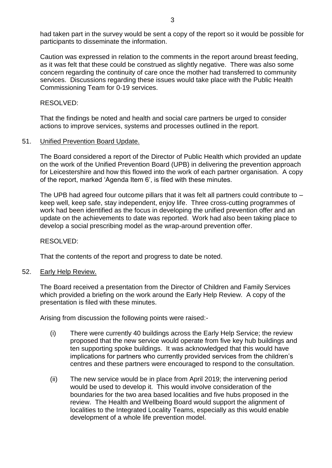had taken part in the survey would be sent a copy of the report so it would be possible for participants to disseminate the information.

Caution was expressed in relation to the comments in the report around breast feeding, as it was felt that these could be construed as slightly negative. There was also some concern regarding the continuity of care once the mother had transferred to community services. Discussions regarding these issues would take place with the Public Health Commissioning Team for 0-19 services.

RESOLVED:

That the findings be noted and health and social care partners be urged to consider actions to improve services, systems and processes outlined in the report.

#### 51. Unified Prevention Board Update.

The Board considered a report of the Director of Public Health which provided an update on the work of the Unified Prevention Board (UPB) in delivering the prevention approach for Leicestershire and how this flowed into the work of each partner organisation. A copy of the report, marked 'Agenda Item 6', is filed with these minutes.

The UPB had agreed four outcome pillars that it was felt all partners could contribute to – keep well, keep safe, stay independent, enjoy life. Three cross-cutting programmes of work had been identified as the focus in developing the unified prevention offer and an update on the achievements to date was reported. Work had also been taking place to develop a social prescribing model as the wrap-around prevention offer.

RESOLVED:

That the contents of the report and progress to date be noted.

52. Early Help Review.

The Board received a presentation from the Director of Children and Family Services which provided a briefing on the work around the Early Help Review. A copy of the presentation is filed with these minutes.

Arising from discussion the following points were raised:-

- (i) There were currently 40 buildings across the Early Help Service; the review proposed that the new service would operate from five key hub buildings and ten supporting spoke buildings. It was acknowledged that this would have implications for partners who currently provided services from the children's centres and these partners were encouraged to respond to the consultation.
- (ii) The new service would be in place from April 2019; the intervening period would be used to develop it. This would involve consideration of the boundaries for the two area based localities and five hubs proposed in the review. The Health and Wellbeing Board would support the alignment of localities to the Integrated Locality Teams, especially as this would enable development of a whole life prevention model.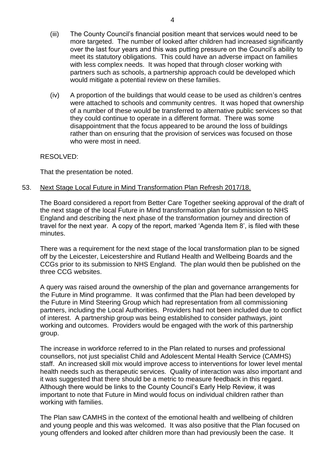- (iii) The County Council's financial position meant that services would need to be more targeted. The number of looked after children had increased significantly over the last four years and this was putting pressure on the Council's ability to meet its statutory obligations. This could have an adverse impact on families with less complex needs. It was hoped that through closer working with partners such as schools, a partnership approach could be developed which would mitigate a potential review on these families.
- (iv) A proportion of the buildings that would cease to be used as children's centres were attached to schools and community centres. It was hoped that ownership of a number of these would be transferred to alternative public services so that they could continue to operate in a different format. There was some disappointment that the focus appeared to be around the loss of buildings rather than on ensuring that the provision of services was focused on those who were most in need.

#### RESOLVED:

That the presentation be noted.

### 53. Next Stage Local Future in Mind Transformation Plan Refresh 2017/18.

The Board considered a report from Better Care Together seeking approval of the draft of the next stage of the local Future in Mind transformation plan for submission to NHS England and describing the next phase of the transformation journey and direction of travel for the next year. A copy of the report, marked 'Agenda Item 8', is filed with these minutes.

There was a requirement for the next stage of the local transformation plan to be signed off by the Leicester, Leicestershire and Rutland Health and Wellbeing Boards and the CCGs prior to its submission to NHS England. The plan would then be published on the three CCG websites.

A query was raised around the ownership of the plan and governance arrangements for the Future in Mind programme. It was confirmed that the Plan had been developed by the Future in Mind Steering Group which had representation from all commissioning partners, including the Local Authorities. Providers had not been included due to conflict of interest. A partnership group was being established to consider pathways, joint working and outcomes. Providers would be engaged with the work of this partnership group.

The increase in workforce referred to in the Plan related to nurses and professional counsellors, not just specialist Child and Adolescent Mental Health Service (CAMHS) staff. An increased skill mix would improve access to interventions for lower level mental health needs such as therapeutic services. Quality of interaction was also important and it was suggested that there should be a metric to measure feedback in this regard. Although there would be links to the County Council's Early Help Review, it was important to note that Future in Mind would focus on individual children rather than working with families.

The Plan saw CAMHS in the context of the emotional health and wellbeing of children and young people and this was welcomed. It was also positive that the Plan focused on young offenders and looked after children more than had previously been the case. It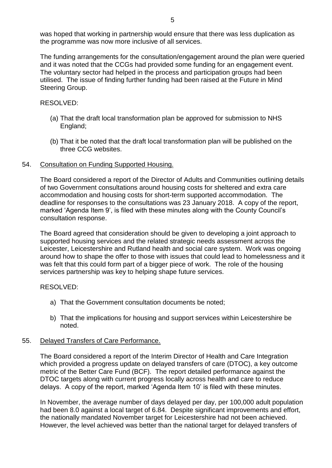was hoped that working in partnership would ensure that there was less duplication as the programme was now more inclusive of all services.

The funding arrangements for the consultation/engagement around the plan were queried and it was noted that the CCGs had provided some funding for an engagement event. The voluntary sector had helped in the process and participation groups had been utilised. The issue of finding further funding had been raised at the Future in Mind Steering Group.

## RESOLVED:

- (a) That the draft local transformation plan be approved for submission to NHS England;
- (b) That it be noted that the draft local transformation plan will be published on the three CCG websites.

## 54. Consultation on Funding Supported Housing.

The Board considered a report of the Director of Adults and Communities outlining details of two Government consultations around housing costs for sheltered and extra care accommodation and housing costs for short-term supported accommodation. The deadline for responses to the consultations was 23 January 2018. A copy of the report, marked 'Agenda Item 9', is filed with these minutes along with the County Council's consultation response.

The Board agreed that consideration should be given to developing a joint approach to supported housing services and the related strategic needs assessment across the Leicester, Leicestershire and Rutland health and social care system. Work was ongoing around how to shape the offer to those with issues that could lead to homelessness and it was felt that this could form part of a bigger piece of work. The role of the housing services partnership was key to helping shape future services.

# RESOLVED:

- a) That the Government consultation documents be noted;
- b) That the implications for housing and support services within Leicestershire be noted.

# 55. Delayed Transfers of Care Performance.

The Board considered a report of the Interim Director of Health and Care Integration which provided a progress update on delayed transfers of care (DTOC), a key outcome metric of the Better Care Fund (BCF). The report detailed performance against the DTOC targets along with current progress locally across health and care to reduce delays. A copy of the report, marked 'Agenda Item 10' is filed with these minutes.

In November, the average number of days delayed per day, per 100,000 adult population had been 8.0 against a local target of 6.84. Despite significant improvements and effort, the nationally mandated November target for Leicestershire had not been achieved. However, the level achieved was better than the national target for delayed transfers of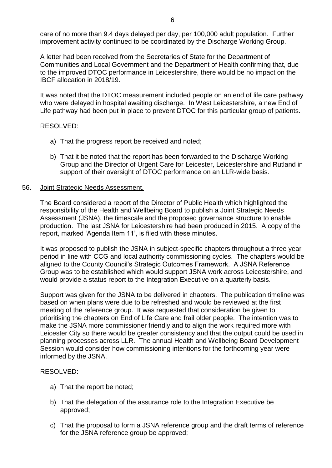care of no more than 9.4 days delayed per day, per 100,000 adult population. Further improvement activity continued to be coordinated by the Discharge Working Group.

A letter had been received from the Secretaries of State for the Department of Communities and Local Government and the Department of Health confirming that, due to the improved DTOC performance in Leicestershire, there would be no impact on the IBCF allocation in 2018/19.

It was noted that the DTOC measurement included people on an end of life care pathway who were delayed in hospital awaiting discharge. In West Leicestershire, a new End of Life pathway had been put in place to prevent DTOC for this particular group of patients.

## RESOLVED:

- a) That the progress report be received and noted;
- b) That it be noted that the report has been forwarded to the Discharge Working Group and the Director of Urgent Care for Leicester, Leicestershire and Rutland in support of their oversight of DTOC performance on an LLR-wide basis.

## 56. Joint Strategic Needs Assessment.

The Board considered a report of the Director of Public Health which highlighted the responsibility of the Health and Wellbeing Board to publish a Joint Strategic Needs Assessment (JSNA), the timescale and the proposed governance structure to enable production. The last JSNA for Leicestershire had been produced in 2015. A copy of the report, marked 'Agenda Item 11', is filed with these minutes.

It was proposed to publish the JSNA in subject-specific chapters throughout a three year period in line with CCG and local authority commissioning cycles. The chapters would be aligned to the County Council's Strategic Outcomes Framework. A JSNA Reference Group was to be established which would support JSNA work across Leicestershire, and would provide a status report to the Integration Executive on a quarterly basis.

Support was given for the JSNA to be delivered in chapters. The publication timeline was based on when plans were due to be refreshed and would be reviewed at the first meeting of the reference group. It was requested that consideration be given to prioritising the chapters on End of Life Care and frail older people. The intention was to make the JSNA more commissioner friendly and to align the work required more with Leicester City so there would be greater consistency and that the output could be used in planning processes across LLR. The annual Health and Wellbeing Board Development Session would consider how commissioning intentions for the forthcoming year were informed by the JSNA.

## RESOLVED:

- a) That the report be noted;
- b) That the delegation of the assurance role to the Integration Executive be approved;
- c) That the proposal to form a JSNA reference group and the draft terms of reference for the JSNA reference group be approved;